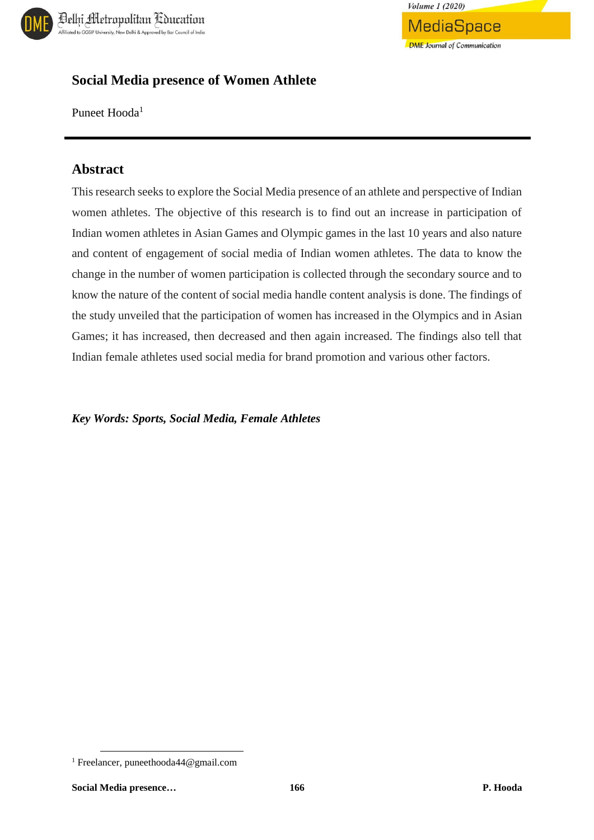



## **Social Media presence of Women Athlete**

Puneet Hooda<sup>1</sup>

## **Abstract**

This research seeks to explore the Social Media presence of an athlete and perspective of Indian women athletes. The objective of this research is to find out an increase in participation of Indian women athletes in Asian Games and Olympic games in the last 10 years and also nature and content of engagement of social media of Indian women athletes. The data to know the change in the number of women participation is collected through the secondary source and to know the nature of the content of social media handle content analysis is done. The findings of the study unveiled that the participation of women has increased in the Olympics and in Asian Games; it has increased, then decreased and then again increased. The findings also tell that Indian female athletes used social media for brand promotion and various other factors.

*Key Words: Sports, Social Media, Female Athletes*

 $\overline{\phantom{a}}$ 

<sup>1</sup> Freelancer, puneethooda44@gmail.com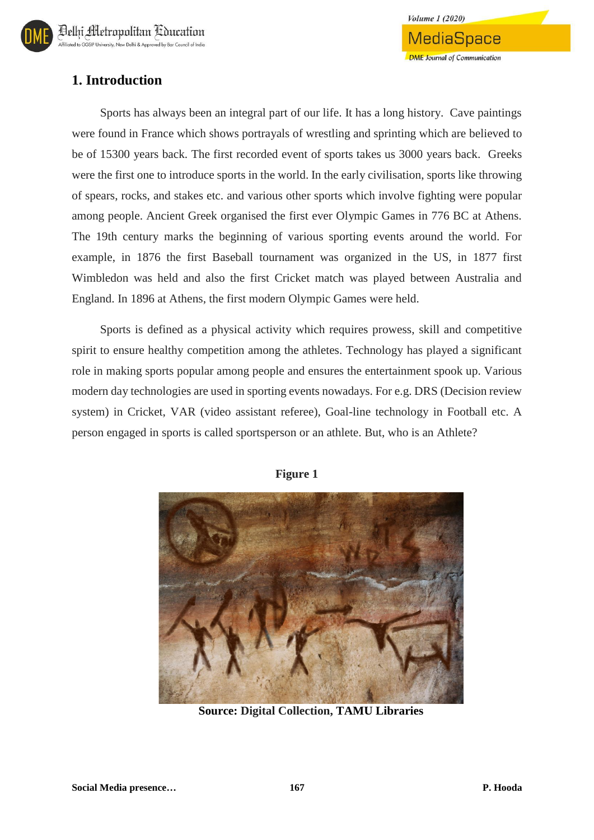# **1. Introduction**

Sports has always been an integral part of our life. It has a long history. Cave paintings were found in France which shows portrayals of wrestling and sprinting which are believed to be of 15300 years back. The first recorded event of sports takes us 3000 years back. Greeks were the first one to introduce sports in the world. In the early civilisation, sports like throwing of spears, rocks, and stakes etc. and various other sports which involve fighting were popular among people. Ancient Greek organised the first ever Olympic Games in 776 BC at Athens. The 19th century marks the beginning of various sporting events around the world. For example, in 1876 the first Baseball tournament was organized in the US, in 1877 first Wimbledon was held and also the first Cricket match was played between Australia and England. In 1896 at Athens, the first modern Olympic Games were held.

**Volume 1 (2020)** 

MediaSpace

**DME** Journal of Communication

Sports is defined as a physical activity which requires prowess, skill and competitive spirit to ensure healthy competition among the athletes. Technology has played a significant role in making sports popular among people and ensures the entertainment spook up. Various modern day technologies are used in sporting events nowadays. For e.g. DRS (Decision review system) in Cricket, VAR (video assistant referee), Goal-line technology in Football etc. A person engaged in sports is called sportsperson or an athlete. But, who is an Athlete?



**Figure 1**

**Source: Digital Collection, TAMU Libraries**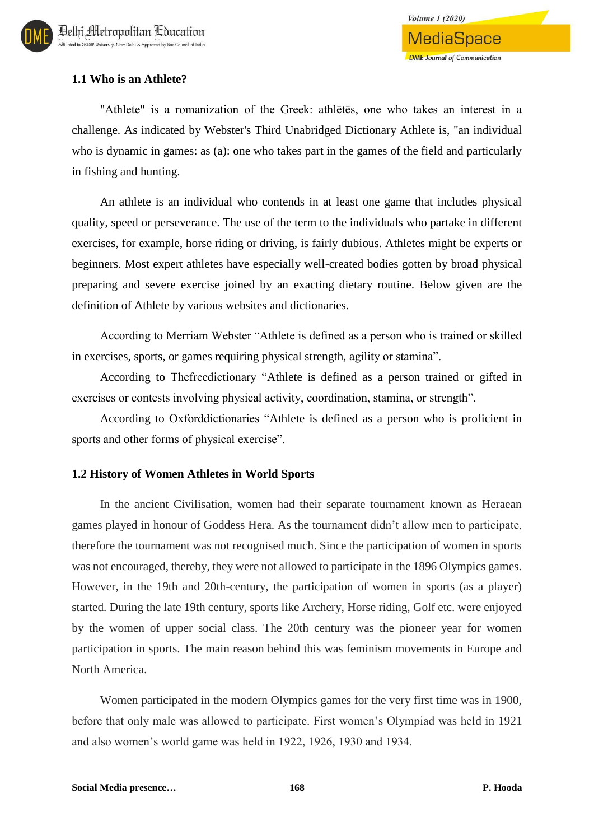## **1.1 Who is an Athlete?**

"Athlete" is a romanization of the Greek: athlētēs, one who takes an interest in a challenge. As indicated by Webster's Third Unabridged Dictionary Athlete is, "an individual who is dynamic in games: as (a): one who takes part in the games of the field and particularly in fishing and hunting.

An athlete is an individual who contends in at least one game that includes physical quality, speed or perseverance. The use of the term to the individuals who partake in different exercises, for example, horse riding or driving, is fairly dubious. Athletes might be experts or beginners. Most expert athletes have especially well-created bodies gotten by broad physical preparing and severe exercise joined by an exacting dietary routine. Below given are the definition of Athlete by various websites and dictionaries.

According to Merriam Webster "Athlete is defined as a person who is trained or skilled in exercises, sports, or games requiring physical strength, agility or stamina".

According to Thefreedictionary "Athlete is defined as a person trained or gifted in exercises or contests involving physical activity, coordination, stamina, or strength".

According to Oxforddictionaries "Athlete is defined as a person who is proficient in sports and other forms of physical exercise".

## **1.2 History of Women Athletes in World Sports**

In the ancient Civilisation, women had their separate tournament known as Heraean games played in honour of Goddess Hera. As the tournament didn't allow men to participate, therefore the tournament was not recognised much. Since the participation of women in sports was not encouraged, thereby, they were not allowed to participate in the 1896 Olympics games. However, in the 19th and 20th-century, the participation of women in sports (as a player) started. During the late 19th century, sports like Archery, Horse riding, Golf etc. were enjoyed by the women of upper social class. The 20th century was the pioneer year for women participation in sports. The main reason behind this was feminism movements in Europe and North America.

Women participated in the modern Olympics games for the very first time was in 1900, before that only male was allowed to participate. First women's Olympiad was held in 1921 and also women's world game was held in 1922, 1926, 1930 and 1934.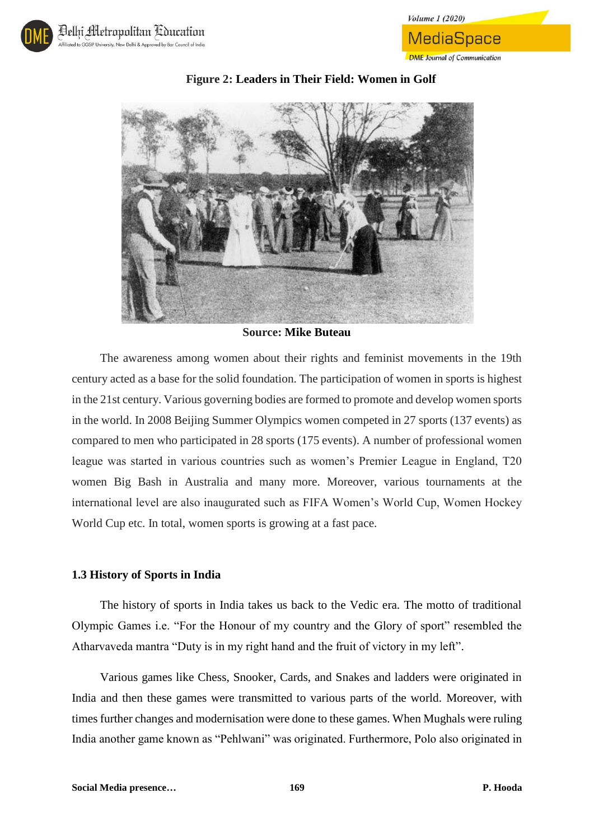



## **Figure 2: Leaders in Their Field: Women in Golf**

**Volume 1 (2020)** 

MediaSpace

**DME** Journal of Communication

**Source: Mike Buteau**

The awareness among women about their rights and feminist movements in the 19th century acted as a base for the solid foundation. The participation of women in sports is highest in the 21st century. Various governing bodies are formed to promote and develop women sports in the world. In 2008 Beijing Summer Olympics women competed in 27 sports (137 events) as compared to men who participated in 28 sports (175 events). A number of professional women league was started in various countries such as women's Premier League in England, T20 women Big Bash in Australia and many more. Moreover, various tournaments at the international level are also inaugurated such as FIFA Women's World Cup, Women Hockey World Cup etc. In total, women sports is growing at a fast pace.

#### **1.3 History of Sports in India**

The history of sports in India takes us back to the Vedic era. The motto of traditional Olympic Games i.e. "For the Honour of my country and the Glory of sport" resembled the Atharvaveda mantra "Duty is in my right hand and the fruit of victory in my left".

Various games like Chess, Snooker, Cards, and Snakes and ladders were originated in India and then these games were transmitted to various parts of the world. Moreover, with times further changes and modernisation were done to these games. When Mughals were ruling India another game known as "Pehlwani" was originated. Furthermore, Polo also originated in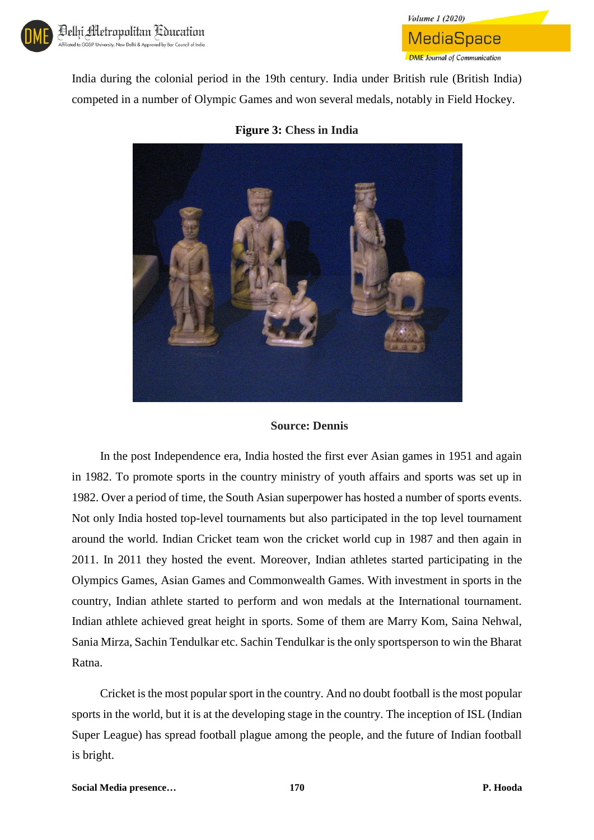

India during the colonial period in the 19th century. India under British rule (British India) competed in a number of Olympic Games and won several medals, notably in Field Hockey.

**Volume 1 (2020)** 

**MediaSpace** 

**DME** Journal of Communication

#### **Figure 3: Chess in India**



#### **Source: Dennis**

In the post Independence era, India hosted the first ever Asian games in 1951 and again in 1982. To promote sports in the country ministry of youth affairs and sports was set up in 1982. Over a period of time, the South Asian superpower has hosted a number of sports events. Not only India hosted top-level tournaments but also participated in the top level tournament around the world. Indian Cricket team won the cricket world cup in 1987 and then again in 2011. In 2011 they hosted the event. Moreover, Indian athletes started participating in the Olympics Games, Asian Games and Commonwealth Games. With investment in sports in the country, Indian athlete started to perform and won medals at the International tournament. Indian athlete achieved great height in sports. Some of them are Marry Kom, Saina Nehwal, Sania Mirza, Sachin Tendulkar etc. Sachin Tendulkar is the only sportsperson to win the Bharat Ratna.

Cricket is the most popular sport in the country. And no doubt football is the most popular sports in the world, but it is at the developing stage in the country. The inception of ISL (Indian Super League) has spread football plague among the people, and the future of Indian football is bright.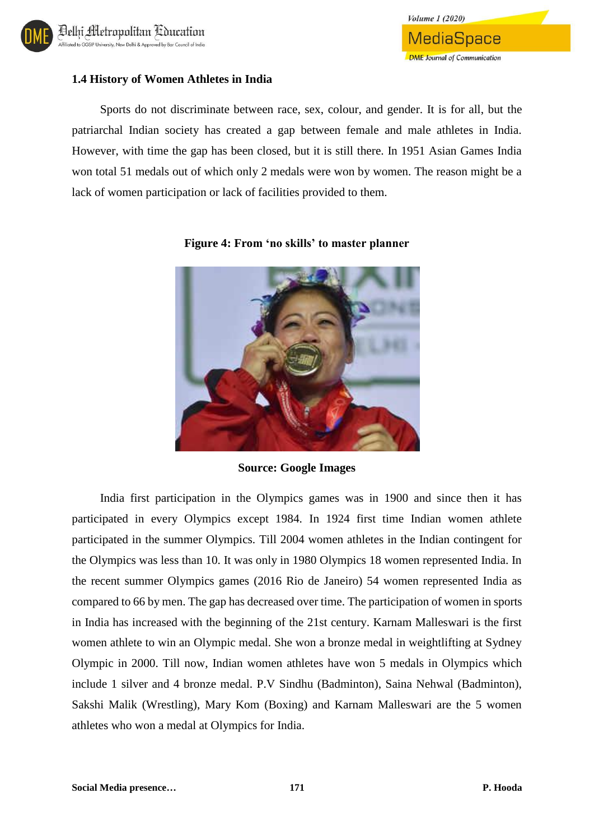

## **1.4 History of Women Athletes in India**

Sports do not discriminate between race, sex, colour, and gender. It is for all, but the patriarchal Indian society has created a gap between female and male athletes in India. However, with time the gap has been closed, but it is still there. In 1951 Asian Games India won total 51 medals out of which only 2 medals were won by women. The reason might be a lack of women participation or lack of facilities provided to them.



#### **Figure 4: From 'no skills' to master planner**

**Source: Google Images**

India first participation in the Olympics games was in 1900 and since then it has participated in every Olympics except 1984. In 1924 first time Indian women athlete participated in the summer Olympics. Till 2004 women athletes in the Indian contingent for the Olympics was less than 10. It was only in 1980 Olympics 18 women represented India. In the recent summer Olympics games (2016 Rio de Janeiro) 54 women represented India as compared to 66 by men. The gap has decreased over time. The participation of women in sports in India has increased with the beginning of the 21st century. Karnam Malleswari is the first women athlete to win an Olympic medal. She won a bronze medal in weightlifting at Sydney Olympic in 2000. Till now, Indian women athletes have won 5 medals in Olympics which include 1 silver and 4 bronze medal. P.V Sindhu (Badminton), Saina Nehwal (Badminton), Sakshi Malik (Wrestling), Mary Kom (Boxing) and Karnam Malleswari are the 5 women athletes who won a medal at Olympics for India.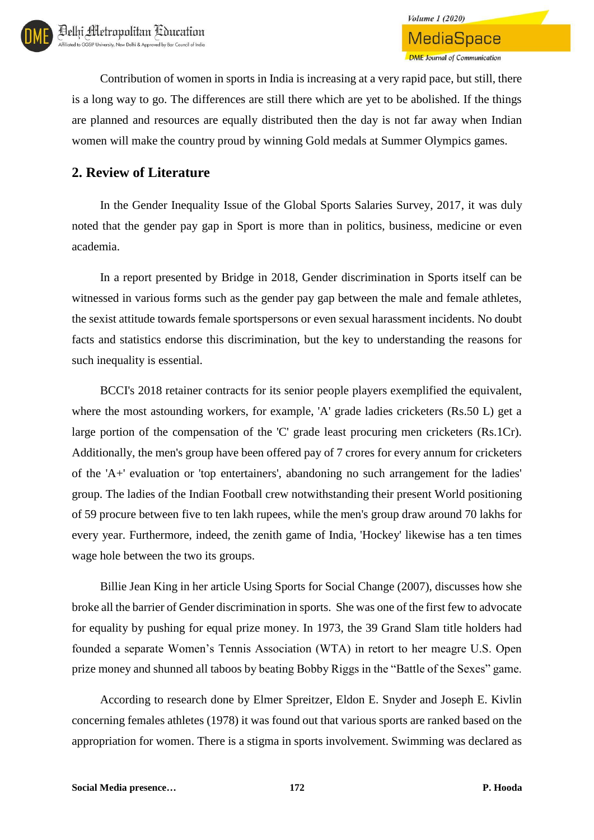**Volume 1 (2020)** 

Contribution of women in sports in India is increasing at a very rapid pace, but still, there is a long way to go. The differences are still there which are yet to be abolished. If the things are planned and resources are equally distributed then the day is not far away when Indian women will make the country proud by winning Gold medals at Summer Olympics games.

## **2. Review of Literature**

In the Gender Inequality Issue of the Global Sports Salaries Survey, 2017, it was duly noted that the gender pay gap in Sport is more than in politics, business, medicine or even academia.

In a report presented by Bridge in 2018, Gender discrimination in Sports itself can be witnessed in various forms such as the gender pay gap between the male and female athletes, the sexist attitude towards female sportspersons or even sexual harassment incidents. No doubt facts and statistics endorse this discrimination, but the key to understanding the reasons for such inequality is essential.

BCCI's 2018 retainer contracts for its senior people players exemplified the equivalent, where the most astounding workers, for example, 'A' grade ladies cricketers (Rs.50 L) get a large portion of the compensation of the 'C' grade least procuring men cricketers (Rs.1Cr). Additionally, the men's group have been offered pay of 7 crores for every annum for cricketers of the 'A+' evaluation or 'top entertainers', abandoning no such arrangement for the ladies' group. The ladies of the Indian Football crew notwithstanding their present World positioning of 59 procure between five to ten lakh rupees, while the men's group draw around 70 lakhs for every year. Furthermore, indeed, the zenith game of India, 'Hockey' likewise has a ten times wage hole between the two its groups.

Billie Jean King in her article Using Sports for Social Change (2007), discusses how she broke all the barrier of Gender discrimination in sports. She was one of the first few to advocate for equality by pushing for equal prize money. In 1973, the 39 Grand Slam title holders had founded a separate Women's Tennis Association (WTA) in retort to her meagre U.S. Open prize money and shunned all taboos by beating Bobby Riggs in the "Battle of the Sexes" game.

According to research done by Elmer Spreitzer, Eldon E. Snyder and Joseph E. Kivlin concerning females athletes (1978) it was found out that various sports are ranked based on the appropriation for women. There is a stigma in sports involvement. Swimming was declared as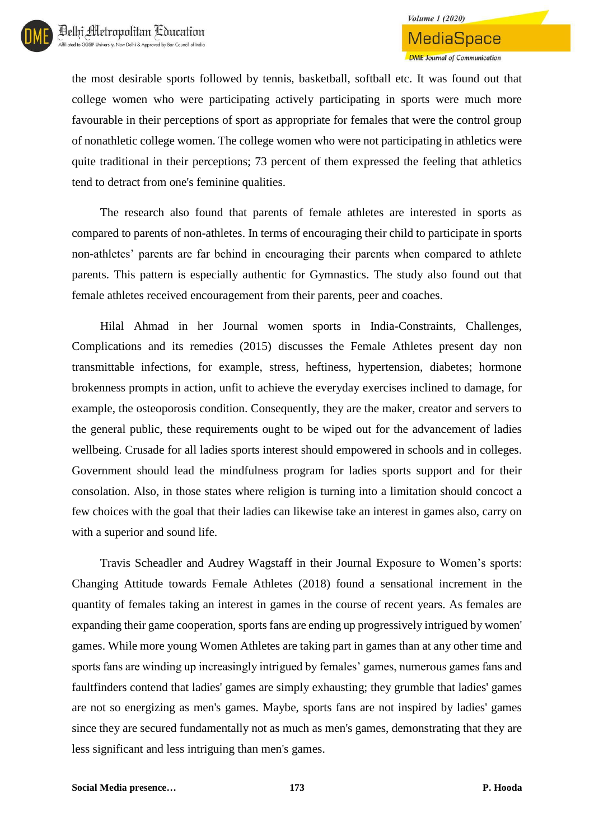the most desirable sports followed by tennis, basketball, softball etc. It was found out that college women who were participating actively participating in sports were much more favourable in their perceptions of sport as appropriate for females that were the control group of nonathletic college women. The college women who were not participating in athletics were quite traditional in their perceptions; 73 percent of them expressed the feeling that athletics tend to detract from one's feminine qualities.

The research also found that parents of female athletes are interested in sports as compared to parents of non-athletes. In terms of encouraging their child to participate in sports non-athletes' parents are far behind in encouraging their parents when compared to athlete parents. This pattern is especially authentic for Gymnastics. The study also found out that female athletes received encouragement from their parents, peer and coaches.

Hilal Ahmad in her Journal women sports in India-Constraints, Challenges, Complications and its remedies (2015) discusses the Female Athletes present day non transmittable infections, for example, stress, heftiness, hypertension, diabetes; hormone brokenness prompts in action, unfit to achieve the everyday exercises inclined to damage, for example, the osteoporosis condition. Consequently, they are the maker, creator and servers to the general public, these requirements ought to be wiped out for the advancement of ladies wellbeing. Crusade for all ladies sports interest should empowered in schools and in colleges. Government should lead the mindfulness program for ladies sports support and for their consolation. Also, in those states where religion is turning into a limitation should concoct a few choices with the goal that their ladies can likewise take an interest in games also, carry on with a superior and sound life.

Travis Scheadler and Audrey Wagstaff in their Journal Exposure to Women's sports: Changing Attitude towards Female Athletes (2018) found a sensational increment in the quantity of females taking an interest in games in the course of recent years. As females are expanding their game cooperation, sports fans are ending up progressively intrigued by women' games. While more young Women Athletes are taking part in games than at any other time and sports fans are winding up increasingly intrigued by females' games, numerous games fans and faultfinders contend that ladies' games are simply exhausting; they grumble that ladies' games are not so energizing as men's games. Maybe, sports fans are not inspired by ladies' games since they are secured fundamentally not as much as men's games, demonstrating that they are less significant and less intriguing than men's games.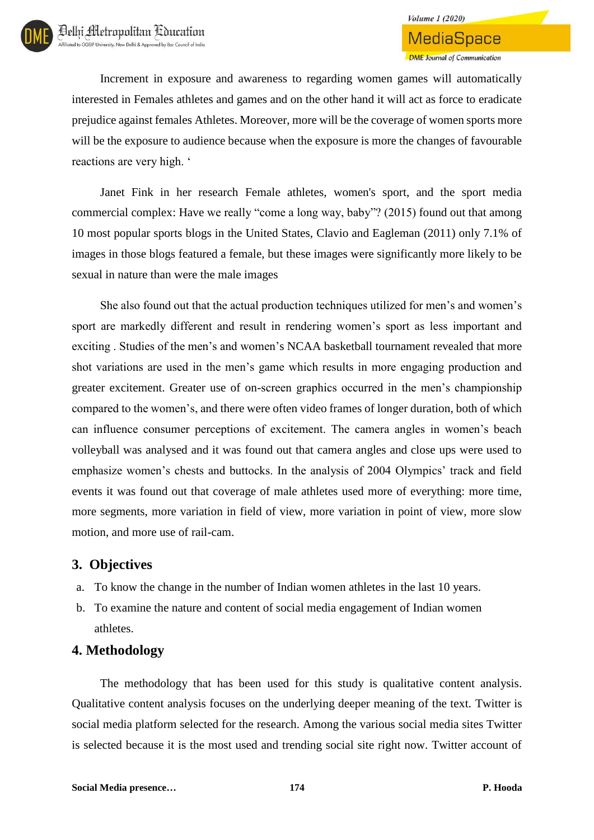Increment in exposure and awareness to regarding women games will automatically interested in Females athletes and games and on the other hand it will act as force to eradicate prejudice against females Athletes. Moreover, more will be the coverage of women sports more will be the exposure to audience because when the exposure is more the changes of favourable reactions are very high. '

Janet Fink in her research Female athletes, women's sport, and the sport media commercial complex: Have we really "come a long way, baby"? (2015) found out that among 10 most popular sports blogs in the United States, Clavio and Eagleman (2011) only 7.1% of images in those blogs featured a female, but these images were significantly more likely to be sexual in nature than were the male images

She also found out that the actual production techniques utilized for men's and women's sport are markedly different and result in rendering women's sport as less important and exciting . Studies of the men's and women's NCAA basketball tournament revealed that more shot variations are used in the men's game which results in more engaging production and greater excitement. Greater use of on-screen graphics occurred in the men's championship compared to the women's, and there were often video frames of longer duration, both of which can influence consumer perceptions of excitement. The camera angles in women's beach volleyball was analysed and it was found out that camera angles and close ups were used to emphasize women's chests and buttocks. In the analysis of 2004 Olympics' track and field events it was found out that coverage of male athletes used more of everything: more time, more segments, more variation in field of view, more variation in point of view, more slow motion, and more use of rail-cam.

## **3. Objectives**

- a. To know the change in the number of Indian women athletes in the last 10 years.
- b. To examine the nature and content of social media engagement of Indian women athletes.

## **4. Methodology**

The methodology that has been used for this study is qualitative content analysis. Qualitative content analysis focuses on the underlying deeper meaning of the text. Twitter is social media platform selected for the research. Among the various social media sites Twitter is selected because it is the most used and trending social site right now. Twitter account of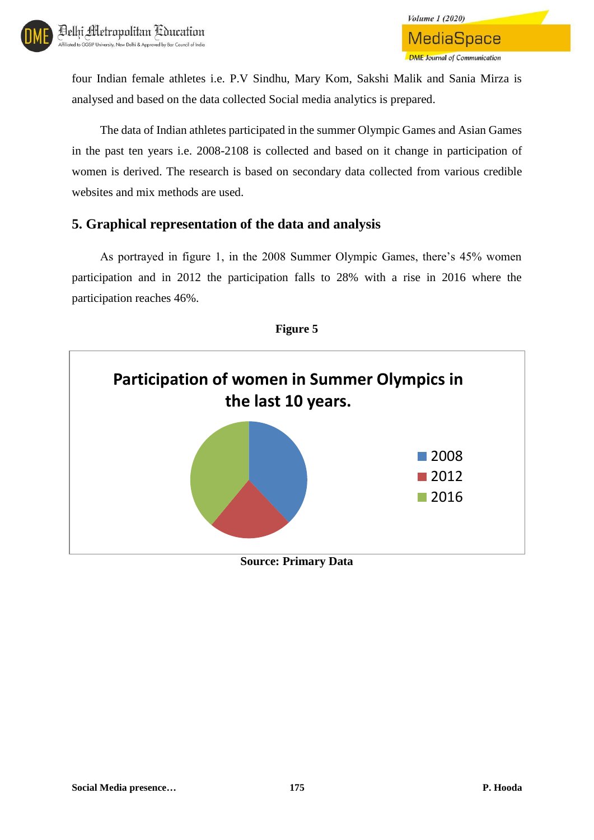

four Indian female athletes i.e. P.V Sindhu, Mary Kom, Sakshi Malik and Sania Mirza is analysed and based on the data collected Social media analytics is prepared.

The data of Indian athletes participated in the summer Olympic Games and Asian Games in the past ten years i.e. 2008-2108 is collected and based on it change in participation of women is derived. The research is based on secondary data collected from various credible websites and mix methods are used.

## **5. Graphical representation of the data and analysis**

As portrayed in figure 1, in the 2008 Summer Olympic Games, there's 45% women participation and in 2012 the participation falls to 28% with a rise in 2016 where the participation reaches 46%.



**Figure 5**

**Source: Primary Data**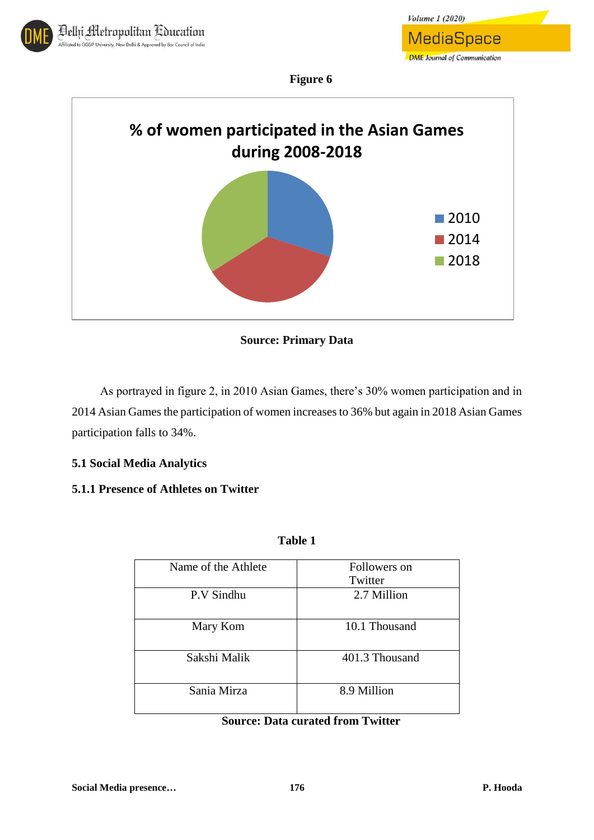

*Volume 1 (2020)* **MediaSpace DME** Journal of Communication

**Figure 6**



**Source: Primary Data**

As portrayed in figure 2, in 2010 Asian Games, there's 30% women participation and in 2014 Asian Games the participation of women increases to 36% but again in 2018 Asian Games participation falls to 34%.

## **5.1 Social Media Analytics**

## **5.1.1 Presence of Athletes on Twitter**

| abie |  |
|------|--|
|------|--|

| Name of the Athlete | Followers on<br>Twitter |
|---------------------|-------------------------|
| P.V Sindhu          | 2.7 Million             |
| Mary Kom            | 10.1 Thousand           |
| Sakshi Malik        | 401.3 Thousand          |
| Sania Mirza         | 8.9 Million             |

## **Source: Data curated from Twitter**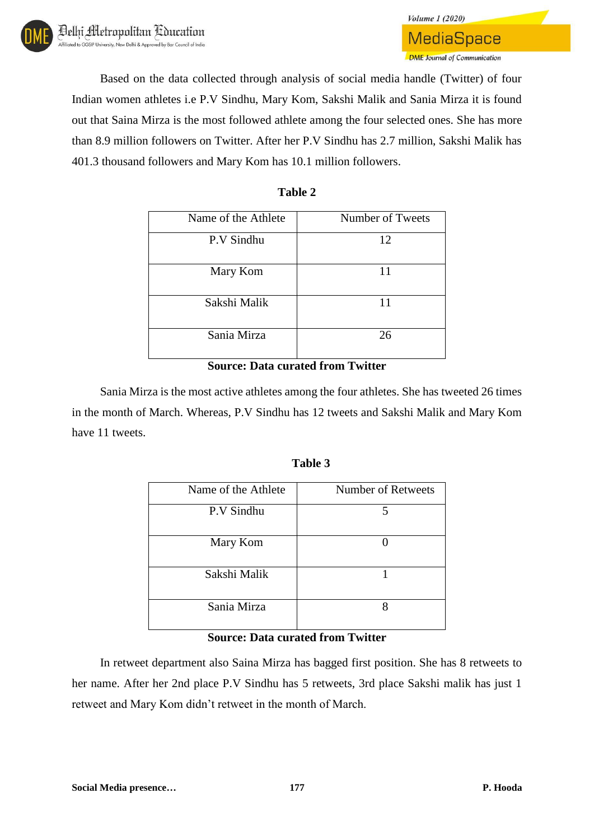

Based on the data collected through analysis of social media handle (Twitter) of four Indian women athletes i.e P.V Sindhu, Mary Kom, Sakshi Malik and Sania Mirza it is found out that Saina Mirza is the most followed athlete among the four selected ones. She has more than 8.9 million followers on Twitter. After her P.V Sindhu has 2.7 million, Sakshi Malik has 401.3 thousand followers and Mary Kom has 10.1 million followers.

**Volume 1 (2020)** 

**MediaSpace** 

**DME** Journal of Communication

| Name of the Athlete | Number of Tweets |
|---------------------|------------------|
| P.V Sindhu          | 12               |
| Mary Kom            | 11               |
| Sakshi Malik        | 11               |
| Sania Mirza         | 26               |

### **Table 2**

### **Source: Data curated from Twitter**

Sania Mirza is the most active athletes among the four athletes. She has tweeted 26 times in the month of March. Whereas, P.V Sindhu has 12 tweets and Sakshi Malik and Mary Kom have 11 tweets.

#### **Table 3**

| Name of the Athlete | <b>Number of Retweets</b> |
|---------------------|---------------------------|
| P.V Sindhu          | 5                         |
| Mary Kom            |                           |
| Sakshi Malik        |                           |
| Sania Mirza         |                           |

#### **Source: Data curated from Twitter**

In retweet department also Saina Mirza has bagged first position. She has 8 retweets to her name. After her 2nd place P.V Sindhu has 5 retweets, 3rd place Sakshi malik has just 1 retweet and Mary Kom didn't retweet in the month of March.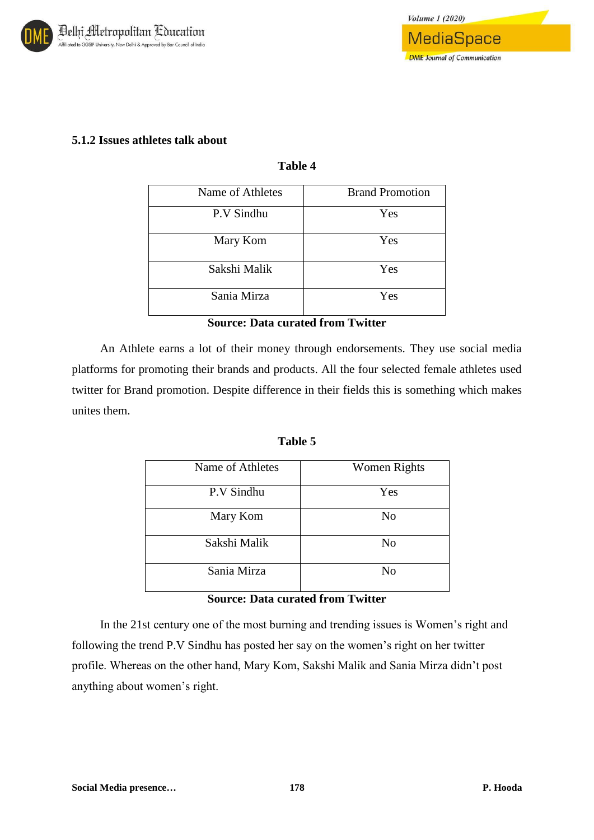

## **5.1.2 Issues athletes talk about**

### **Table 4**

| Name of Athletes | <b>Brand Promotion</b> |
|------------------|------------------------|
| P.V Sindhu       | Yes                    |
| Mary Kom         | Yes                    |
| Sakshi Malik     | Yes                    |
| Sania Mirza      | Yes                    |

### **Source: Data curated from Twitter**

An Athlete earns a lot of their money through endorsements. They use social media platforms for promoting their brands and products. All the four selected female athletes used twitter for Brand promotion. Despite difference in their fields this is something which makes unites them.

#### **Table 5**

| Name of Athletes | <b>Women Rights</b> |
|------------------|---------------------|
| P.V Sindhu       | Yes                 |
| Mary Kom         | No                  |
| Sakshi Malik     | No                  |
| Sania Mirza      | No                  |

#### **Source: Data curated from Twitter**

In the 21st century one of the most burning and trending issues is Women's right and following the trend P.V Sindhu has posted her say on the women's right on her twitter profile. Whereas on the other hand, Mary Kom, Sakshi Malik and Sania Mirza didn't post anything about women's right.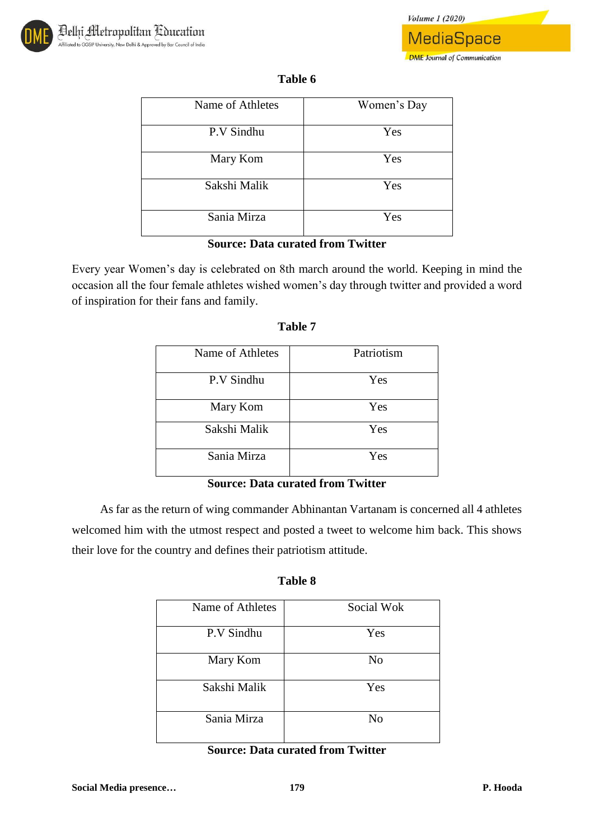

**DME** Journal of Communication

| `able | n |
|-------|---|
|-------|---|

| Name of Athletes | Women's Day |
|------------------|-------------|
| P.V Sindhu       | Yes         |
| Mary Kom         | Yes         |
| Sakshi Malik     | Yes         |
| Sania Mirza      | Yes         |

### **Source: Data curated from Twitter**

Every year Women's day is celebrated on 8th march around the world. Keeping in mind the occasion all the four female athletes wished women's day through twitter and provided a word of inspiration for their fans and family.

| Name of Athletes | Patriotism |
|------------------|------------|
| P.V Sindhu       | Yes        |
| Mary Kom         | Yes        |
| Sakshi Malik     | Yes        |
| Sania Mirza      | Yes        |

### **Table 7**

## **Source: Data curated from Twitter**

As far as the return of wing commander Abhinantan Vartanam is concerned all 4 athletes welcomed him with the utmost respect and posted a tweet to welcome him back. This shows their love for the country and defines their patriotism attitude.

| l'able | δ |
|--------|---|
|        |   |

| Name of Athletes | Social Wok     |
|------------------|----------------|
| P.V Sindhu       | Yes            |
| Mary Kom         | No             |
| Sakshi Malik     | Yes            |
| Sania Mirza      | N <sub>o</sub> |

## **Source: Data curated from Twitter**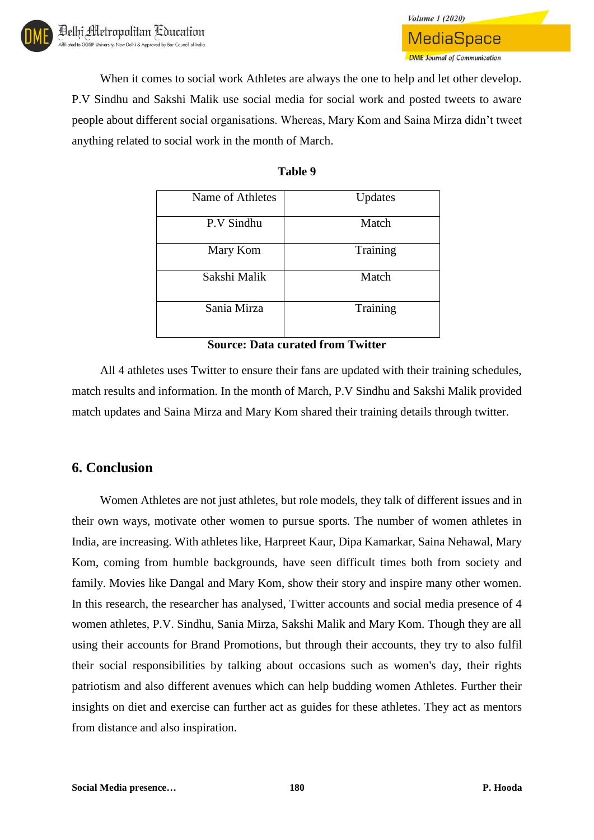When it comes to social work Athletes are always the one to help and let other develop. P.V Sindhu and Sakshi Malik use social media for social work and posted tweets to aware people about different social organisations. Whereas, Mary Kom and Saina Mirza didn't tweet anything related to social work in the month of March.

**Volume 1 (2020)** 

**MediaSpace** 

**DME** Journal of Communication

| Name of Athletes | Updates  |
|------------------|----------|
| P.V Sindhu       | Match    |
| Mary Kom         | Training |
| Sakshi Malik     | Match    |
| Sania Mirza      | Training |

## **Table 9**

**Source: Data curated from Twitter** 

All 4 athletes uses Twitter to ensure their fans are updated with their training schedules, match results and information. In the month of March, P.V Sindhu and Sakshi Malik provided match updates and Saina Mirza and Mary Kom shared their training details through twitter.

## **6. Conclusion**

Women Athletes are not just athletes, but role models, they talk of different issues and in their own ways, motivate other women to pursue sports. The number of women athletes in India, are increasing. With athletes like, Harpreet Kaur, Dipa Kamarkar, Saina Nehawal, Mary Kom, coming from humble backgrounds, have seen difficult times both from society and family. Movies like Dangal and Mary Kom, show their story and inspire many other women. In this research, the researcher has analysed, Twitter accounts and social media presence of 4 women athletes, P.V. Sindhu, Sania Mirza, Sakshi Malik and Mary Kom. Though they are all using their accounts for Brand Promotions, but through their accounts, they try to also fulfil their social responsibilities by talking about occasions such as women's day, their rights patriotism and also different avenues which can help budding women Athletes. Further their insights on diet and exercise can further act as guides for these athletes. They act as mentors from distance and also inspiration.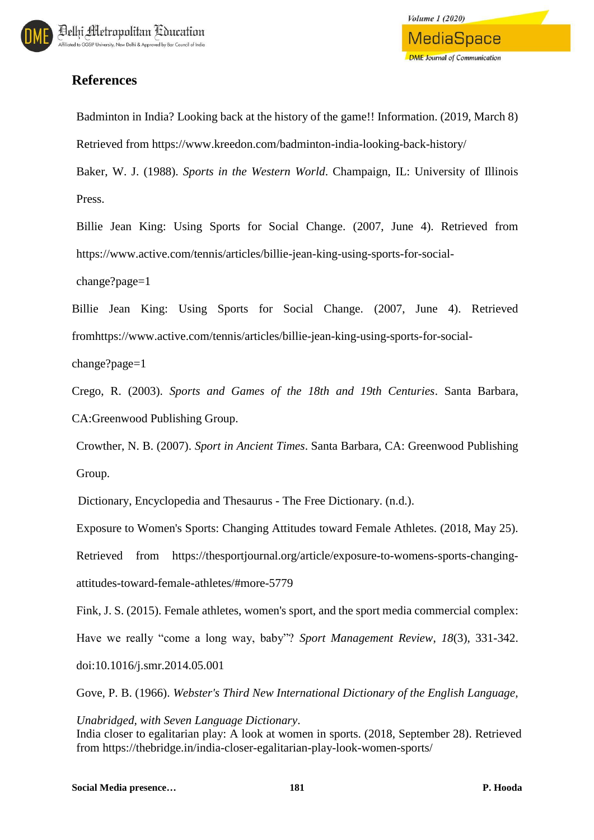# **References**

Badminton in India? Looking back at the history of the game!! Information. (2019, March 8) Retrieved from https://www.kreedon.com/badminton-india-looking-back-history/

Baker, W. J. (1988). *Sports in the Western World*. Champaign, IL: University of Illinois Press.

Billie Jean King: Using Sports for Social Change. (2007, June 4). Retrieved from https://www.active.com/tennis/articles/billie-jean-king-using-sports-for-social-

change?page=1

Billie Jean King: Using Sports for Social Change. (2007, June 4). Retrieved fromhttps://www.active.com/tennis/articles/billie-jean-king-using-sports-for-social-

change?page=1

Crego, R. (2003). *Sports and Games of the 18th and 19th Centuries*. Santa Barbara, CA:Greenwood Publishing Group.

Crowther, N. B. (2007). *Sport in Ancient Times*. Santa Barbara, CA: Greenwood Publishing Group.

Dictionary, Encyclopedia and Thesaurus - The Free Dictionary. (n.d.).

Exposure to Women's Sports: Changing Attitudes toward Female Athletes. (2018, May 25).

Retrieved from https://thesportjournal.org/article/exposure-to-womens-sports-changingattitudes-toward-female-athletes/#more-5779

Fink, J. S. (2015). Female athletes, women's sport, and the sport media commercial complex: Have we really "come a long way, baby"? *Sport Management Review*, *18*(3), 331-342. doi:10.1016/j.smr.2014.05.001

Gove, P. B. (1966). *Webster's Third New International Dictionary of the English Language,* 

*Unabridged, with Seven Language Dictionary*. India closer to egalitarian play: A look at women in sports. (2018, September 28). Retrieved from https://thebridge.in/india-closer-egalitarian-play-look-women-sports/